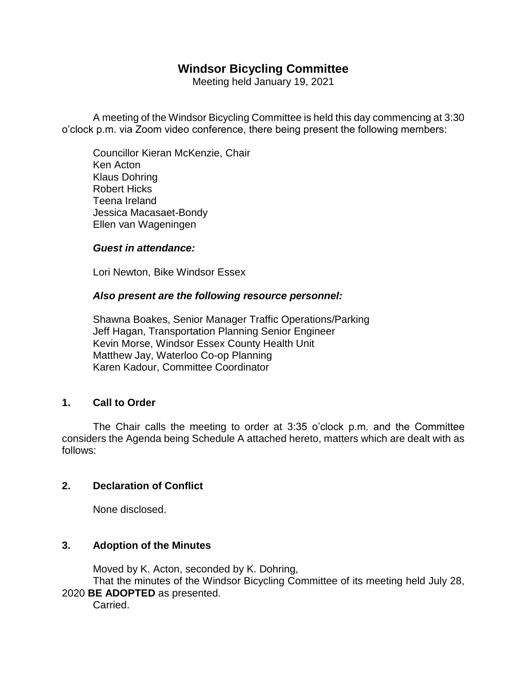# **Windsor Bicycling Committee**

Meeting held January 19, 2021

A meeting of the Windsor Bicycling Committee is held this day commencing at 3:30 o'clock p.m. via Zoom video conference, there being present the following members:

Councillor Kieran McKenzie, Chair Ken Acton Klaus Dohring Robert Hicks Teena Ireland Jessica Macasaet-Bondy Ellen van Wageningen

### *Guest in attendance:*

Lori Newton, Bike Windsor Essex

### *Also present are the following resource personnel:*

Shawna Boakes, Senior Manager Traffic Operations/Parking Jeff Hagan, Transportation Planning Senior Engineer Kevin Morse, Windsor Essex County Health Unit Matthew Jay, Waterloo Co-op Planning Karen Kadour, Committee Coordinator

## **1. Call to Order**

The Chair calls the meeting to order at 3:35 o'clock p.m. and the Committee considers the Agenda being Schedule A attached hereto, matters which are dealt with as follows:

## **2. Declaration of Conflict**

None disclosed.

# **3. Adoption of the Minutes**

Moved by K. Acton, seconded by K. Dohring,

That the minutes of the Windsor Bicycling Committee of its meeting held July 28, 2020 **BE ADOPTED** as presented.

Carried.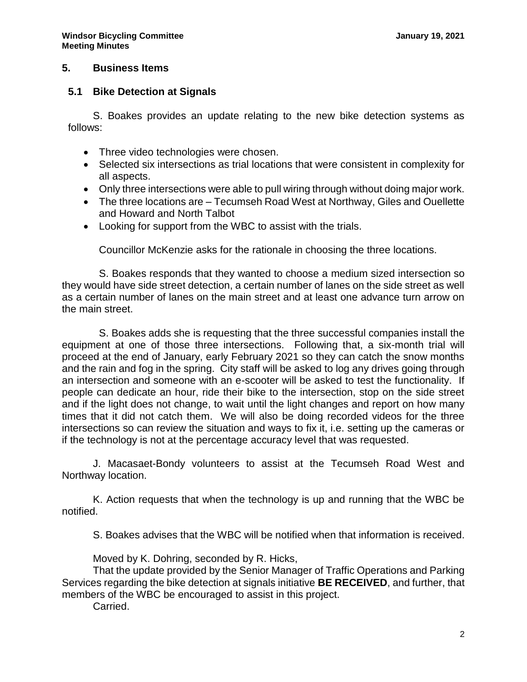#### **5. Business Items**

### **5.1 Bike Detection at Signals**

S. Boakes provides an update relating to the new bike detection systems as follows:

- Three video technologies were chosen.
- Selected six intersections as trial locations that were consistent in complexity for all aspects.
- Only three intersections were able to pull wiring through without doing major work.
- The three locations are Tecumseh Road West at Northway, Giles and Ouellette and Howard and North Talbot
- Looking for support from the WBC to assist with the trials.

Councillor McKenzie asks for the rationale in choosing the three locations.

S. Boakes responds that they wanted to choose a medium sized intersection so they would have side street detection, a certain number of lanes on the side street as well as a certain number of lanes on the main street and at least one advance turn arrow on the main street.

S. Boakes adds she is requesting that the three successful companies install the equipment at one of those three intersections. Following that, a six-month trial will proceed at the end of January, early February 2021 so they can catch the snow months and the rain and fog in the spring. City staff will be asked to log any drives going through an intersection and someone with an e-scooter will be asked to test the functionality. If people can dedicate an hour, ride their bike to the intersection, stop on the side street and if the light does not change, to wait until the light changes and report on how many times that it did not catch them. We will also be doing recorded videos for the three intersections so can review the situation and ways to fix it, i.e. setting up the cameras or if the technology is not at the percentage accuracy level that was requested.

J. Macasaet-Bondy volunteers to assist at the Tecumseh Road West and Northway location.

K. Action requests that when the technology is up and running that the WBC be notified.

S. Boakes advises that the WBC will be notified when that information is received.

Moved by K. Dohring, seconded by R. Hicks,

That the update provided by the Senior Manager of Traffic Operations and Parking Services regarding the bike detection at signals initiative **BE RECEIVED**, and further, that members of the WBC be encouraged to assist in this project.

Carried.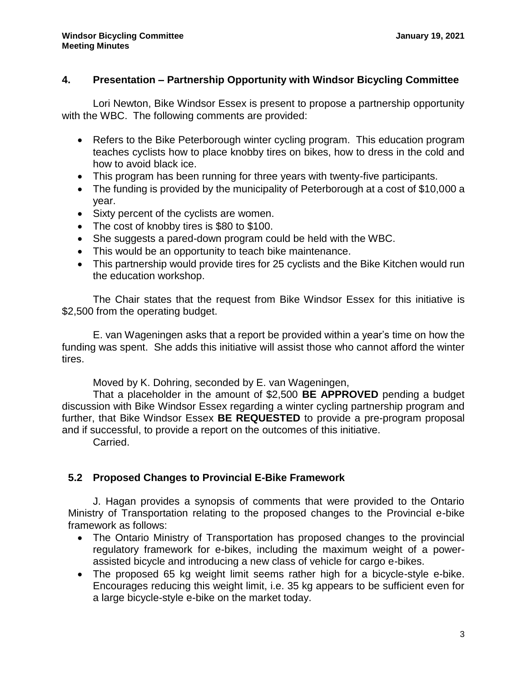## **4. Presentation – Partnership Opportunity with Windsor Bicycling Committee**

Lori Newton, Bike Windsor Essex is present to propose a partnership opportunity with the WBC. The following comments are provided:

- Refers to the Bike Peterborough winter cycling program. This education program teaches cyclists how to place knobby tires on bikes, how to dress in the cold and how to avoid black ice.
- This program has been running for three years with twenty-five participants.
- The funding is provided by the municipality of Peterborough at a cost of \$10,000 a year.
- Sixty percent of the cyclists are women.
- The cost of knobby tires is \$80 to \$100.
- She suggests a pared-down program could be held with the WBC.
- This would be an opportunity to teach bike maintenance.
- This partnership would provide tires for 25 cyclists and the Bike Kitchen would run the education workshop.

The Chair states that the request from Bike Windsor Essex for this initiative is \$2,500 from the operating budget.

E. van Wageningen asks that a report be provided within a year's time on how the funding was spent. She adds this initiative will assist those who cannot afford the winter tires.

Moved by K. Dohring, seconded by E. van Wageningen,

That a placeholder in the amount of \$2,500 **BE APPROVED** pending a budget discussion with Bike Windsor Essex regarding a winter cycling partnership program and further, that Bike Windsor Essex **BE REQUESTED** to provide a pre-program proposal and if successful, to provide a report on the outcomes of this initiative.

Carried.

# **5.2 Proposed Changes to Provincial E-Bike Framework**

J. Hagan provides a synopsis of comments that were provided to the Ontario Ministry of Transportation relating to the proposed changes to the Provincial e-bike framework as follows:

- The Ontario Ministry of Transportation has proposed changes to the provincial regulatory framework for e-bikes, including the maximum weight of a powerassisted bicycle and introducing a new class of vehicle for cargo e-bikes.
- The proposed 65 kg weight limit seems rather high for a bicycle-style e-bike. Encourages reducing this weight limit, i.e. 35 kg appears to be sufficient even for a large bicycle-style e-bike on the market today.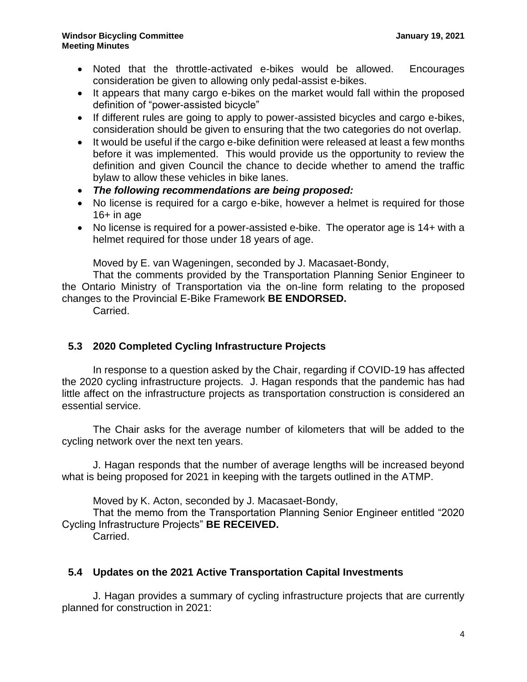- Noted that the throttle-activated e-bikes would be allowed. Encourages consideration be given to allowing only pedal-assist e-bikes.
- It appears that many cargo e-bikes on the market would fall within the proposed definition of "power-assisted bicycle"
- If different rules are going to apply to power-assisted bicycles and cargo e-bikes, consideration should be given to ensuring that the two categories do not overlap.
- It would be useful if the cargo e-bike definition were released at least a few months before it was implemented. This would provide us the opportunity to review the definition and given Council the chance to decide whether to amend the traffic bylaw to allow these vehicles in bike lanes.
- *The following recommendations are being proposed:*
- No license is required for a cargo e-bike, however a helmet is required for those  $16+$  in age
- No license is required for a power-assisted e-bike. The operator age is 14+ with a helmet required for those under 18 years of age.

Moved by E. van Wageningen, seconded by J. Macasaet-Bondy,

That the comments provided by the Transportation Planning Senior Engineer to the Ontario Ministry of Transportation via the on-line form relating to the proposed changes to the Provincial E-Bike Framework **BE ENDORSED.**

Carried.

# **5.3 2020 Completed Cycling Infrastructure Projects**

In response to a question asked by the Chair, regarding if COVID-19 has affected the 2020 cycling infrastructure projects. J. Hagan responds that the pandemic has had little affect on the infrastructure projects as transportation construction is considered an essential service.

The Chair asks for the average number of kilometers that will be added to the cycling network over the next ten years.

J. Hagan responds that the number of average lengths will be increased beyond what is being proposed for 2021 in keeping with the targets outlined in the ATMP.

Moved by K. Acton, seconded by J. Macasaet-Bondy,

That the memo from the Transportation Planning Senior Engineer entitled "2020 Cycling Infrastructure Projects" **BE RECEIVED.**

Carried.

# **5.4 Updates on the 2021 Active Transportation Capital Investments**

J. Hagan provides a summary of cycling infrastructure projects that are currently planned for construction in 2021: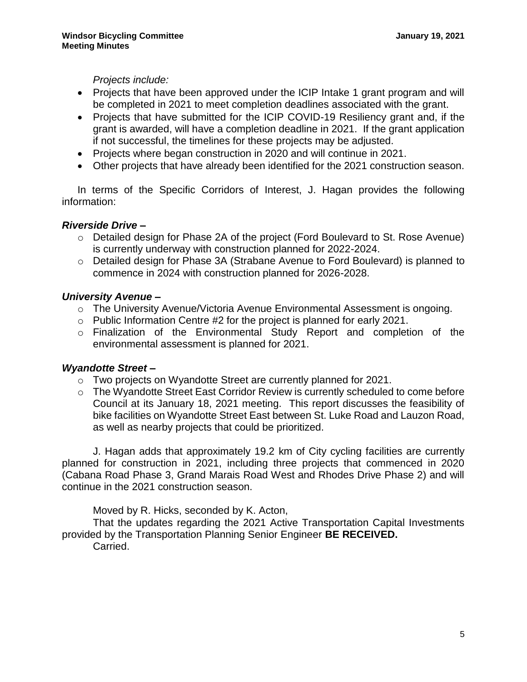*Projects include:*

- Projects that have been approved under the ICIP Intake 1 grant program and will be completed in 2021 to meet completion deadlines associated with the grant.
- Projects that have submitted for the ICIP COVID-19 Resiliency grant and, if the grant is awarded, will have a completion deadline in 2021. If the grant application if not successful, the timelines for these projects may be adjusted.
- Projects where began construction in 2020 and will continue in 2021.
- Other projects that have already been identified for the 2021 construction season.

In terms of the Specific Corridors of Interest, J. Hagan provides the following information:

## *Riverside Drive –*

- o Detailed design for Phase 2A of the project (Ford Boulevard to St. Rose Avenue) is currently underway with construction planned for 2022-2024.
- o Detailed design for Phase 3A (Strabane Avenue to Ford Boulevard) is planned to commence in 2024 with construction planned for 2026-2028.

## *University Avenue –*

- o The University Avenue/Victoria Avenue Environmental Assessment is ongoing.
- o Public Information Centre #2 for the project is planned for early 2021.
- o Finalization of the Environmental Study Report and completion of the environmental assessment is planned for 2021.

## *Wyandotte Street –*

- o Two projects on Wyandotte Street are currently planned for 2021.
- $\circ$  The Wyandotte Street East Corridor Review is currently scheduled to come before Council at its January 18, 2021 meeting. This report discusses the feasibility of bike facilities on Wyandotte Street East between St. Luke Road and Lauzon Road, as well as nearby projects that could be prioritized.

J. Hagan adds that approximately 19.2 km of City cycling facilities are currently planned for construction in 2021, including three projects that commenced in 2020 (Cabana Road Phase 3, Grand Marais Road West and Rhodes Drive Phase 2) and will continue in the 2021 construction season.

Moved by R. Hicks, seconded by K. Acton,

That the updates regarding the 2021 Active Transportation Capital Investments provided by the Transportation Planning Senior Engineer **BE RECEIVED.**

Carried.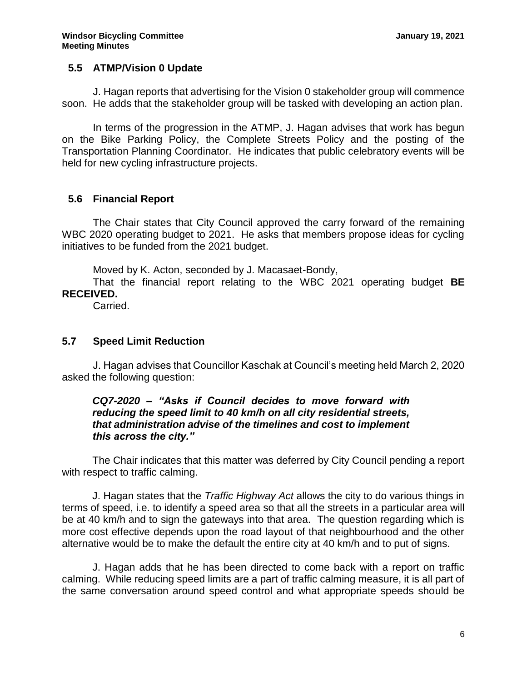## **5.5 ATMP/Vision 0 Update**

J. Hagan reports that advertising for the Vision 0 stakeholder group will commence soon. He adds that the stakeholder group will be tasked with developing an action plan.

In terms of the progression in the ATMP, J. Hagan advises that work has begun on the Bike Parking Policy, the Complete Streets Policy and the posting of the Transportation Planning Coordinator. He indicates that public celebratory events will be held for new cycling infrastructure projects.

# **5.6 Financial Report**

The Chair states that City Council approved the carry forward of the remaining WBC 2020 operating budget to 2021. He asks that members propose ideas for cycling initiatives to be funded from the 2021 budget.

Moved by K. Acton, seconded by J. Macasaet-Bondy,

That the financial report relating to the WBC 2021 operating budget **BE RECEIVED.**

Carried.

## **5.7 Speed Limit Reduction**

J. Hagan advises that Councillor Kaschak at Council's meeting held March 2, 2020 asked the following question:

### *CQ7-2020 – "Asks if Council decides to move forward with reducing the speed limit to 40 km/h on all city residential streets, that administration advise of the timelines and cost to implement this across the city."*

The Chair indicates that this matter was deferred by City Council pending a report with respect to traffic calming.

J. Hagan states that the *Traffic Highway Act* allows the city to do various things in terms of speed, i.e. to identify a speed area so that all the streets in a particular area will be at 40 km/h and to sign the gateways into that area. The question regarding which is more cost effective depends upon the road layout of that neighbourhood and the other alternative would be to make the default the entire city at 40 km/h and to put of signs.

J. Hagan adds that he has been directed to come back with a report on traffic calming. While reducing speed limits are a part of traffic calming measure, it is all part of the same conversation around speed control and what appropriate speeds should be